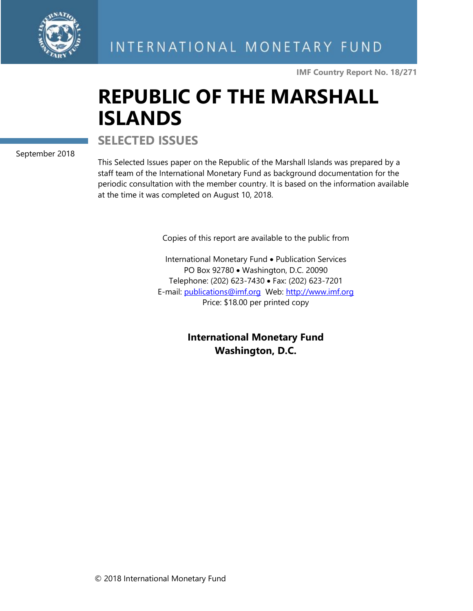

**IMF Country Report No. 18/271**

# **REPUBLIC OF THE MARSHALL ISLANDS**

**SELECTED ISSUES**

September 2018

This Selected Issues paper on the Republic of the Marshall Islands was prepared by a staff team of the International Monetary Fund as background documentation for the periodic consultation with the member country. It is based on the information available at the time it was completed on August 10, 2018.

Copies of this report are available to the public from

International Monetary Fund • Publication Services PO Box 92780 • Washington, D.C. 20090 Telephone: (202) 623-7430 • Fax: (202) 623-7201 E-mail: [publications@imf.org](mailto:publications@imf.org) Web: [http://www.imf.org](http://www.imf.org/) Price: \$18.00 per printed copy

> **International Monetary Fund Washington, D.C.**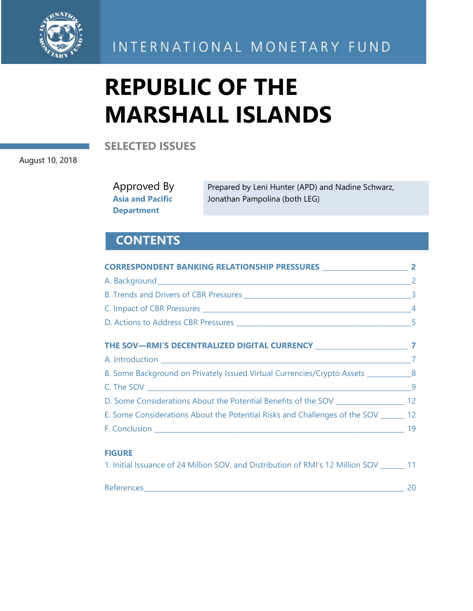

INTERNATIONAL MONETARY FUND

# **REPUBLIC OF THE MARSHALL ISLANDS**

**SELECTED ISSUES**

August 10, 2018

Approved By **Asia and Pacific Department**

Prepared by Leni Hunter (APD) and Nadine Schwarz, Jonathan Pampolina (both LEG)

# **CONTENTS**

| B. Some Background on Privately Issued Virtual Currencies/Crypto Assets ____________8 |  |
|---------------------------------------------------------------------------------------|--|
|                                                                                       |  |
| D. Some Considerations About the Potential Benefits of the SOV ___________________ 12 |  |
| E. Some Considerations About the Potential Risks and Challenges of the SOV _______ 12 |  |
|                                                                                       |  |
| <b>FIGURE</b>                                                                         |  |
| 11 Initial Issuance of 24 Million SOV, and Distribution of RMI's 12 Million SOV 11    |  |

| -<br>References |  |
|-----------------|--|
|                 |  |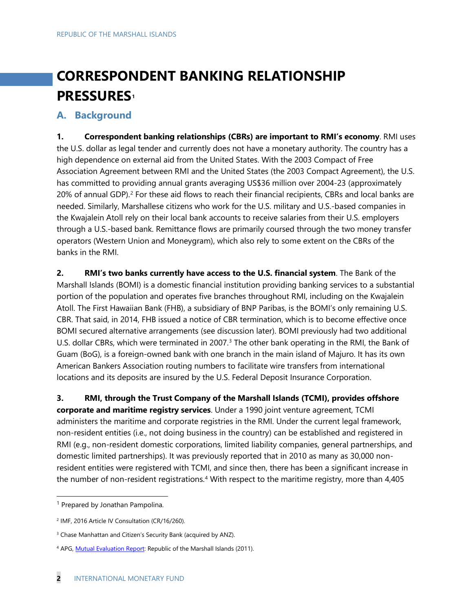# **CORRESPONDENT BANKING RELATIONSHIP PRESSURES[1](#page-2-0)**

#### **A. Background**

**1. Correspondent banking relationships (CBRs) are important to RMI's economy**. RMI uses the U.S. dollar as legal tender and currently does not have a monetary authority. The country has a high dependence on external aid from the United States. With the 2003 Compact of Free Association Agreement between RMI and the United States (the 2003 Compact Agreement), the U.S. has committed to providing annual grants averaging US\$36 million over 2004-23 (approximately [2](#page-2-1)0% of annual GDP).<sup>2</sup> For these aid flows to reach their financial recipients, CBRs and local banks are needed. Similarly, Marshallese citizens who work for the U.S. military and U.S.-based companies in the Kwajalein Atoll rely on their local bank accounts to receive salaries from their U.S. employers through a U.S.-based bank. Remittance flows are primarily coursed through the two money transfer operators (Western Union and Moneygram), which also rely to some extent on the CBRs of the banks in the RMI.

**2. RMI's two banks currently have access to the U.S. financial system**. The Bank of the Marshall Islands (BOMI) is a domestic financial institution providing banking services to a substantial portion of the population and operates five branches throughout RMI, including on the Kwajalein Atoll. The First Hawaiian Bank (FHB), a subsidiary of BNP Paribas, is the BOMI's only remaining U.S. CBR. That said, in 2014, FHB issued a notice of CBR termination, which is to become effective once BOMI secured alternative arrangements (see discussion later). BOMI previously had two additional U.S. dollar CBRs, which were terminated in 2007.<sup>[3](#page-2-2)</sup> The other bank operating in the RMI, the Bank of Guam (BoG), is a foreign-owned bank with one branch in the main island of Majuro. It has its own American Bankers Association routing numbers to facilitate wire transfers from international locations and its deposits are insured by the U.S. Federal Deposit Insurance Corporation.

**3. RMI, through the Trust Company of the Marshall Islands (TCMI), provides offshore corporate and maritime registry services**. Under a 1990 joint venture agreement, TCMI administers the maritime and corporate registries in the RMI. Under the current legal framework, non-resident entities (i.e., not doing business in the country) can be established and registered in RMI (e.g., non-resident domestic corporations, limited liability companies, general partnerships, and domestic limited partnerships). It was previously reported that in 2010 as many as 30,000 nonresident entities were registered with TCMI, and since then, there has been a significant increase in the number of non-resident registrations.<sup>[4](#page-2-3)</sup> With respect to the maritime registry, more than 4,405

<span id="page-2-0"></span><sup>&</sup>lt;sup>1</sup> Prepared by Jonathan Pampolina.

<span id="page-2-1"></span><sup>&</sup>lt;sup>2</sup> IMF, 2016 Article IV Consultation (CR/16/260).

<span id="page-2-2"></span><sup>&</sup>lt;sup>3</sup> Chase Manhattan and Citizen's Security Bank (acquired by ANZ).

<span id="page-2-3"></span><sup>4</sup> APG[, Mutual Evaluation Report:](http://www.apgml.org/includes/handlers/get-document.ashx?d=77fdeb02-a5e6-44d1-a16d-b7394cb364cf) Republic of the Marshall Islands (2011).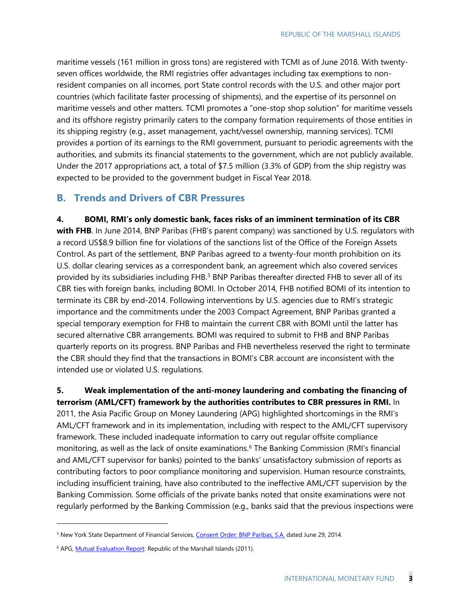maritime vessels (161 million in gross tons) are registered with TCMI as of June 2018. With twentyseven offices worldwide, the RMI registries offer advantages including tax exemptions to nonresident companies on all incomes, port State control records with the U.S. and other major port countries (which facilitate faster processing of shipments), and the expertise of its personnel on maritime vessels and other matters. TCMI promotes a "one-stop shop solution" for maritime vessels and its offshore registry primarily caters to the company formation requirements of those entities in its shipping registry (e.g., asset management, yacht/vessel ownership, manning services). TCMI provides a portion of its earnings to the RMI government, pursuant to periodic agreements with the authorities, and submits its financial statements to the government, which are not publicly available. Under the 2017 appropriations act, a total of \$7.5 million (3.3% of GDP) from the ship registry was expected to be provided to the government budget in Fiscal Year 2018.

#### **B. Trends and Drivers of CBR Pressures**

**4. BOMI, RMI's only domestic bank, faces risks of an imminent termination of its CBR**  with FHB. In June 2014, BNP Paribas (FHB's parent company) was sanctioned by U.S. regulators with a record US\$8.9 billion fine for violations of the sanctions list of the Office of the Foreign Assets Control. As part of the settlement, BNP Paribas agreed to a twenty-four month prohibition on its U.S. dollar clearing services as a correspondent bank, an agreement which also covered services provided by its subsidiaries including FHB.<sup>[5](#page-3-0)</sup> BNP Paribas thereafter directed FHB to sever all of its CBR ties with foreign banks, including BOMI. In October 2014, FHB notified BOMI of its intention to terminate its CBR by end-2014. Following interventions by U.S. agencies due to RMI's strategic importance and the commitments under the 2003 Compact Agreement, BNP Paribas granted a special temporary exemption for FHB to maintain the current CBR with BOMI until the latter has secured alternative CBR arrangements. BOMI was required to submit to FHB and BNP Paribas quarterly reports on its progress. BNP Paribas and FHB nevertheless reserved the right to terminate the CBR should they find that the transactions in BOMI's CBR account are inconsistent with the intended use or violated U.S. regulations.

#### **5. Weak implementation of the anti-money laundering and combating the financing of terrorism (AML/CFT) framework by the authorities contributes to CBR pressures in RMI.** In

2011, the Asia Pacific Group on Money Laundering (APG) highlighted shortcomings in the RMI's AML/CFT framework and in its implementation, including with respect to the AML/CFT supervisory framework. These included inadequate information to carry out regular offsite compliance monitoring, as well as the lack of onsite examinations.<sup>[6](#page-3-1)</sup> The Banking Commission (RMI's financial and AML/CFT supervisor for banks) pointed to the banks' unsatisfactory submission of reports as contributing factors to poor compliance monitoring and supervision. Human resource constraints, including insufficient training, have also contributed to the ineffective AML/CFT supervision by the Banking Commission. Some officials of the private banks noted that onsite examinations were not regularly performed by the Banking Commission (e.g., banks said that the previous inspections were

-

<span id="page-3-0"></span><sup>&</sup>lt;sup>5</sup> New York State Department of Financial Services[, Consent Order: BNP Paribas, S.A.](http://www.dfs.ny.gov/about/ea/ea140630.pdf) dated June 29, 2014.

<span id="page-3-1"></span><sup>&</sup>lt;sup>6</sup> APG[, Mutual Evaluation Report:](http://www.apgml.org/includes/handlers/get-document.ashx?d=77fdeb02-a5e6-44d1-a16d-b7394cb364cf) Republic of the Marshall Islands (2011).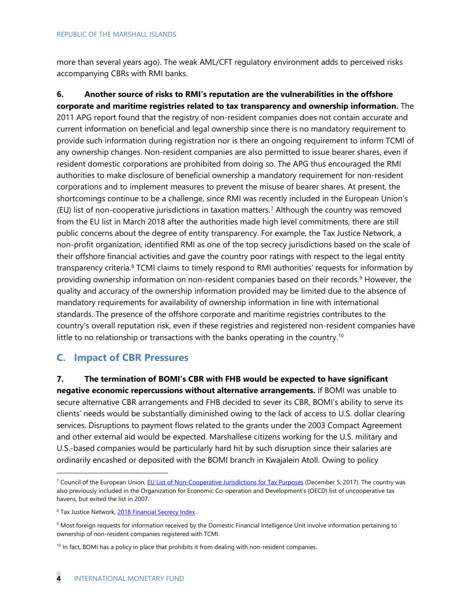more than several years ago). The weak AML/CFT regulatory environment adds to perceived risks accompanying CBRs with RMI banks.

**6. Another source of risks to RMI's reputation are the vulnerabilities in the offshore corporate and maritime registries related to tax transparency and ownership information.** The 2011 APG report found that the registry of non-resident companies does not contain accurate and current information on beneficial and legal ownership since there is no mandatory requirement to provide such information during registration nor is there an ongoing requirement to inform TCMI of any ownership changes. Non-resident companies are also permitted to issue bearer shares, even if resident domestic corporations are prohibited from doing so. The APG thus encouraged the RMI authorities to make disclosure of beneficial ownership a mandatory requirement for non-resident corporations and to implement measures to prevent the misuse of bearer shares. At present, the shortcomings continue to be a challenge, since RMI was recently included in the European Union's (EU) list of non-cooperative jurisdictions in taxation matters.[7](#page-4-0) Although the country was removed from the EU list in March 2018 after the authorities made high level commitments, there are still public concerns about the degree of entity transparency. For example, the Tax Justice Network, a non-profit organization, identified RMI as one of the top secrecy jurisdictions based on the scale of their offshore financial activities and gave the country poor ratings with respect to the legal entity transparency criteria.<sup>[8](#page-4-1)</sup> TCMI claims to timely respond to RMI authorities' requests for information by providing ownership information on non-resident companies based on their records.<sup>[9](#page-4-2)</sup> However, the quality and accuracy of the ownership information provided may be limited due to the absence of mandatory requirements for availability of ownership information in line with international standards. The presence of the offshore corporate and maritime registries contributes to the country's overall reputation risk, even if these registries and registered non-resident companies have little to no relationship or transactions with the banks operating in the country.<sup>[10](#page-4-3)</sup>

#### **C. Impact of CBR Pressures**

**7. The termination of BOMI's CBR with FHB would be expected to have significant negative economic repercussions without alternative arrangements.** If BOMI was unable to secure alternative CBR arrangements and FHB decided to sever its CBR, BOMI's ability to serve its clients' needs would be substantially diminished owing to the lack of access to U.S. dollar clearing services. Disruptions to payment flows related to the grants under the 2003 Compact Agreement and other external aid would be expected. Marshallese citizens working for the U.S. military and U.S.-based companies would be particularly hard hit by such disruption since their salaries are ordinarily encashed or deposited with the BOMI branch in Kwajalein Atoll. Owing to policy

<span id="page-4-0"></span><sup>&</sup>lt;sup>7</sup> Council of the European Union, **EU List of Non-Cooperative Jurisdictions for Tax Purposes (December 5, 2017). The country was** also previously included in the Organization for Economic Co-operation and Development's (OECD) list of uncooperative tax havens, but exited the list in 2007.

<span id="page-4-1"></span><sup>&</sup>lt;sup>8</sup> Tax Justice Network, 2018 Financial Secrecy Index.

<span id="page-4-2"></span><sup>&</sup>lt;sup>9</sup> Most foreign requests for information received by the Domestic Financial Intelligence Unit involve information pertaining to ownership of non-resident companies registered with TCMI.

<span id="page-4-3"></span><sup>&</sup>lt;sup>10</sup> In fact, BOMI has a policy in place that prohibits it from dealing with non-resident companies.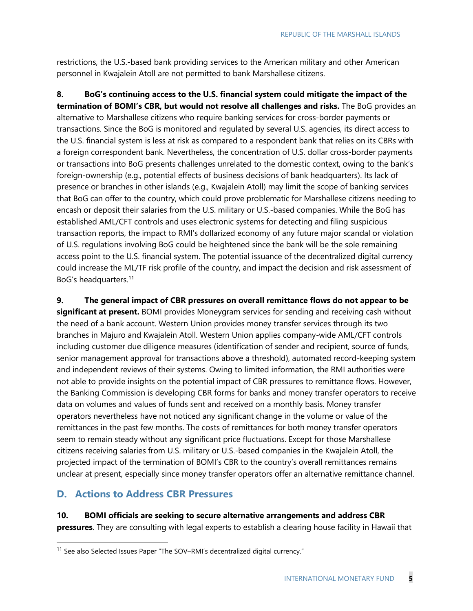restrictions, the U.S.-based bank providing services to the American military and other American personnel in Kwajalein Atoll are not permitted to bank Marshallese citizens.

**8. BoG's continuing access to the U.S. financial system could mitigate the impact of the termination of BOMI's CBR, but would not resolve all challenges and risks.** The BoG provides an alternative to Marshallese citizens who require banking services for cross-border payments or transactions. Since the BoG is monitored and regulated by several U.S. agencies, its direct access to the U.S. financial system is less at risk as compared to a respondent bank that relies on its CBRs with a foreign correspondent bank. Nevertheless, the concentration of U.S. dollar cross-border payments or transactions into BoG presents challenges unrelated to the domestic context, owing to the bank's foreign-ownership (e.g., potential effects of business decisions of bank headquarters). Its lack of presence or branches in other islands (e.g., Kwajalein Atoll) may limit the scope of banking services that BoG can offer to the country, which could prove problematic for Marshallese citizens needing to encash or deposit their salaries from the U.S. military or U.S.-based companies. While the BoG has established AML/CFT controls and uses electronic systems for detecting and filing suspicious transaction reports, the impact to RMI's dollarized economy of any future major scandal or violation of U.S. regulations involving BoG could be heightened since the bank will be the sole remaining access point to the U.S. financial system. The potential issuance of the decentralized digital currency could increase the ML/TF risk profile of the country, and impact the decision and risk assessment of BoG's headquarters.[11](#page-5-0)

**9. The general impact of CBR pressures on overall remittance flows do not appear to be significant at present.** BOMI provides Moneygram services for sending and receiving cash without the need of a bank account. Western Union provides money transfer services through its two branches in Majuro and Kwajalein Atoll. Western Union applies company-wide AML/CFT controls including customer due diligence measures (identification of sender and recipient, source of funds, senior management approval for transactions above a threshold), automated record-keeping system and independent reviews of their systems. Owing to limited information, the RMI authorities were not able to provide insights on the potential impact of CBR pressures to remittance flows. However, the Banking Commission is developing CBR forms for banks and money transfer operators to receive data on volumes and values of funds sent and received on a monthly basis. Money transfer operators nevertheless have not noticed any significant change in the volume or value of the remittances in the past few months. The costs of remittances for both money transfer operators seem to remain steady without any significant price fluctuations. Except for those Marshallese citizens receiving salaries from U.S. military or U.S.-based companies in the Kwajalein Atoll, the projected impact of the termination of BOMI's CBR to the country's overall remittances remains unclear at present, especially since money transfer operators offer an alternative remittance channel.

#### **D. Actions to Address CBR Pressures**

**10. BOMI officials are seeking to secure alternative arrangements and address CBR pressures**. They are consulting with legal experts to establish a clearing house facility in Hawaii that

<span id="page-5-0"></span><sup>&</sup>lt;sup>11</sup> See also Selected Issues Paper "The SOV-RMI's decentralized digital currency."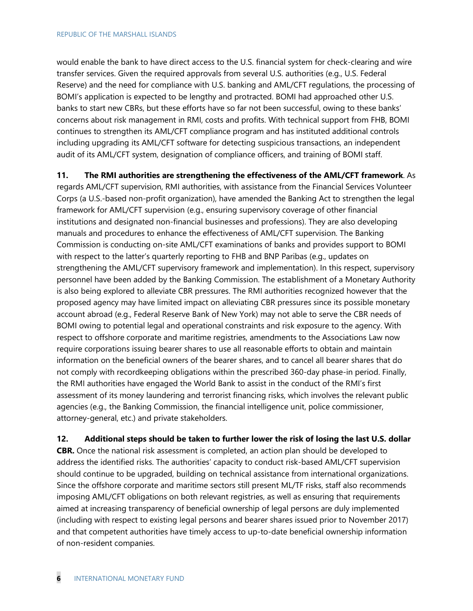would enable the bank to have direct access to the U.S. financial system for check-clearing and wire transfer services. Given the required approvals from several U.S. authorities (e.g., U.S. Federal Reserve) and the need for compliance with U.S. banking and AML/CFT regulations, the processing of BOMI's application is expected to be lengthy and protracted. BOMI had approached other U.S. banks to start new CBRs, but these efforts have so far not been successful, owing to these banks' concerns about risk management in RMI, costs and profits. With technical support from FHB, BOMI continues to strengthen its AML/CFT compliance program and has instituted additional controls including upgrading its AML/CFT software for detecting suspicious transactions, an independent audit of its AML/CFT system, designation of compliance officers, and training of BOMI staff.

**11. The RMI authorities are strengthening the effectiveness of the AML/CFT framework**. As

regards AML/CFT supervision, RMI authorities, with assistance from the Financial Services Volunteer Corps (a U.S.-based non-profit organization), have amended the Banking Act to strengthen the legal framework for AML/CFT supervision (e.g., ensuring supervisory coverage of other financial institutions and designated non-financial businesses and professions). They are also developing manuals and procedures to enhance the effectiveness of AML/CFT supervision. The Banking Commission is conducting on-site AML/CFT examinations of banks and provides support to BOMI with respect to the latter's quarterly reporting to FHB and BNP Paribas (e.g., updates on strengthening the AML/CFT supervisory framework and implementation). In this respect, supervisory personnel have been added by the Banking Commission. The establishment of a Monetary Authority is also being explored to alleviate CBR pressures. The RMI authorities recognized however that the proposed agency may have limited impact on alleviating CBR pressures since its possible monetary account abroad (e.g., Federal Reserve Bank of New York) may not able to serve the CBR needs of BOMI owing to potential legal and operational constraints and risk exposure to the agency. With respect to offshore corporate and maritime registries, amendments to the Associations Law now require corporations issuing bearer shares to use all reasonable efforts to obtain and maintain information on the beneficial owners of the bearer shares, and to cancel all bearer shares that do not comply with recordkeeping obligations within the prescribed 360-day phase-in period. Finally, the RMI authorities have engaged the World Bank to assist in the conduct of the RMI's first assessment of its money laundering and terrorist financing risks, which involves the relevant public agencies (e.g., the Banking Commission, the financial intelligence unit, police commissioner, attorney-general, etc.) and private stakeholders.

**12. Additional steps should be taken to further lower the risk of losing the last U.S. dollar CBR.** Once the national risk assessment is completed, an action plan should be developed to address the identified risks. The authorities' capacity to conduct risk-based AML/CFT supervision should continue to be upgraded, building on technical assistance from international organizations. Since the offshore corporate and maritime sectors still present ML/TF risks, staff also recommends imposing AML/CFT obligations on both relevant registries, as well as ensuring that requirements aimed at increasing transparency of beneficial ownership of legal persons are duly implemented (including with respect to existing legal persons and bearer shares issued prior to November 2017) and that competent authorities have timely access to up-to-date beneficial ownership information of non-resident companies.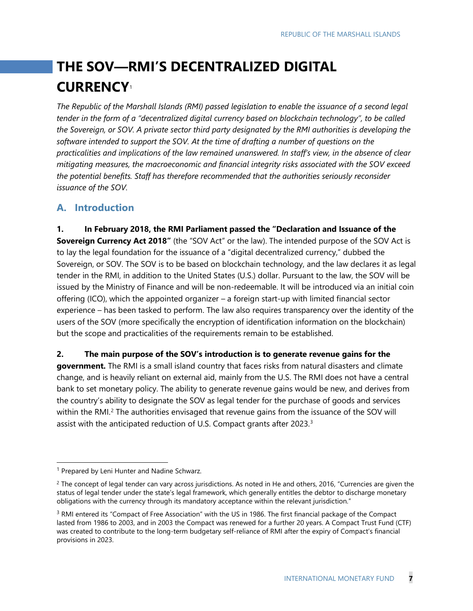# **THE SOV—RMI'S DECENTRALIZED DIGITAL CURRENCY**[1](#page-7-0)

*The Republic of the Marshall Islands (RMI) passed legislation to enable the issuance of a second legal tender in the form of a "decentralized digital currency based on blockchain technology", to be called the Sovereign, or SOV. A private sector third party designated by the RMI authorities is developing the software intended to support the SOV. At the time of drafting a number of questions on the practicalities and implications of the law remained unanswered. In staff's view, in the absence of clear mitigating measures, the macroeconomic and financial integrity risks associated with the SOV exceed the potential benefits. Staff has therefore recommended that the authorities seriously reconsider issuance of the SOV.*

#### **A. Introduction**

**1. In February 2018, the RMI Parliament passed the "Declaration and Issuance of the Sovereign Currency Act 2018"** (the "SOV Act" or the law). The intended purpose of the SOV Act is to lay the legal foundation for the issuance of a "digital decentralized currency," dubbed the Sovereign, or SOV. The SOV is to be based on blockchain technology, and the law declares it as legal tender in the RMI, in addition to the United States (U.S.) dollar. Pursuant to the law, the SOV will be issued by the Ministry of Finance and will be non-redeemable. It will be introduced via an initial coin offering (ICO), which the appointed organizer – a foreign start-up with limited financial sector experience – has been tasked to perform. The law also requires transparency over the identity of the users of the SOV (more specifically the encryption of identification information on the blockchain) but the scope and practicalities of the requirements remain to be established.

**2. The main purpose of the SOV's introduction is to generate revenue gains for the** 

**government.** The RMI is a small island country that faces risks from natural disasters and climate change, and is heavily reliant on external aid, mainly from the U.S. The RMI does not have a central bank to set monetary policy. The ability to generate revenue gains would be new, and derives from the country's ability to designate the SOV as legal tender for the purchase of goods and services within the RMI.<sup>[2](#page-7-1)</sup> The authorities envisaged that revenue gains from the issuance of the SOV will assist with the anticipated reduction of U.S. Compact grants after 202[3](#page-7-2).<sup>3</sup>

<span id="page-7-0"></span><sup>&</sup>lt;sup>1</sup> Prepared by Leni Hunter and Nadine Schwarz.

<span id="page-7-1"></span><sup>&</sup>lt;sup>2</sup> The concept of legal tender can vary across jurisdictions. As noted in He and others, 2016, "Currencies are given the status of legal tender under the state's legal framework, which generally entitles the debtor to discharge monetary obligations with the currency through its mandatory acceptance within the relevant jurisdiction."

<span id="page-7-2"></span><sup>&</sup>lt;sup>3</sup> RMI entered its "Compact of Free Association" with the US in 1986. The first financial package of the Compact lasted from 1986 to 2003, and in 2003 the Compact was renewed for a further 20 years. A Compact Trust Fund (CTF) was created to contribute to the long-term budgetary self-reliance of RMI after the expiry of Compact's financial provisions in 2023.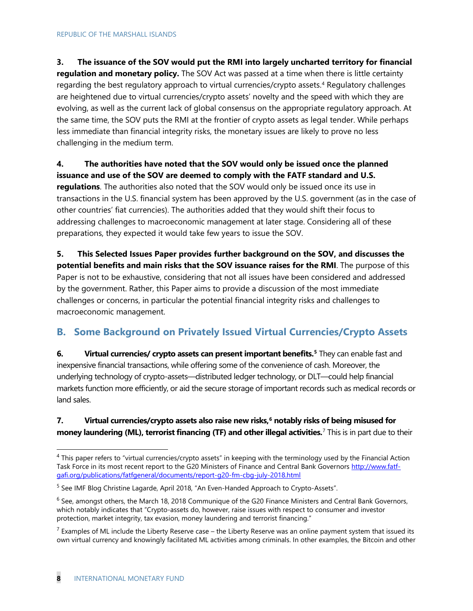#### **3. The issuance of the SOV would put the RMI into largely uncharted territory for financial**

**regulation and monetary policy.** The SOV Act was passed at a time when there is little certainty regarding the best regulatory approach to virtual currencies/crypto assets.<sup>[4](#page-8-0)</sup> Regulatory challenges are heightened due to virtual currencies/crypto assets' novelty and the speed with which they are evolving, as well as the current lack of global consensus on the appropriate regulatory approach. At the same time, the SOV puts the RMI at the frontier of crypto assets as legal tender. While perhaps less immediate than financial integrity risks, the monetary issues are likely to prove no less challenging in the medium term.

#### **4. The authorities have noted that the SOV would only be issued once the planned issuance and use of the SOV are deemed to comply with the FATF standard and U.S.**

**regulations**. The authorities also noted that the SOV would only be issued once its use in transactions in the U.S. financial system has been approved by the U.S. government (as in the case of other countries' fiat currencies). The authorities added that they would shift their focus to addressing challenges to macroeconomic management at later stage. Considering all of these preparations, they expected it would take few years to issue the SOV.

**5. This Selected Issues Paper provides further background on the SOV, and discusses the potential benefits and main risks that the SOV issuance raises for the RMI**. The purpose of this Paper is not to be exhaustive, considering that not all issues have been considered and addressed by the government. Rather, this Paper aims to provide a discussion of the most immediate challenges or concerns, in particular the potential financial integrity risks and challenges to macroeconomic management.

#### **B. Some Background on Privately Issued Virtual Currencies/Crypto Assets**

**6. Virtual currencies/ crypto assets can present important benefits.[5](#page-8-1)** They can enable fast and inexpensive financial transactions, while offering some of the convenience of cash. Moreover, the underlying technology of crypto-assets—distributed ledger technology, or DLT—could help financial markets function more efficiently, or aid the secure storage of important records such as medical records or land sales.

#### **7. Virtual currencies/crypto assets also raise new risks,[6](#page-8-2) notably risks of being misused for money laundering (ML), terrorist financing (TF) and other illegal activities.**[7](#page-8-3) This is in part due to their

<span id="page-8-0"></span> $4$  This paper refers to "virtual currencies/crypto assets" in keeping with the terminology used by the Financial Action Task Force in its most recent report to the G20 Ministers of Finance and Central Bank Governors [http://www.fatf](http://www.fatf-gafi.org/publications/fatfgeneral/documents/report-g20-fm-cbg-july-2018.html)[gafi.org/publications/fatfgeneral/documents/report-g20-fm-cbg-july-2018.html](http://www.fatf-gafi.org/publications/fatfgeneral/documents/report-g20-fm-cbg-july-2018.html)

<span id="page-8-1"></span><sup>&</sup>lt;sup>5</sup> See IMF Blog Christine Lagarde, April 2018, "An Even-Handed Approach to Crypto-Assets".

<span id="page-8-2"></span> $6$  See, amongst others, the March 18, 2018 Communique of the G20 Finance Ministers and Central Bank Governors, which notably indicates that "Crypto-assets do, however, raise issues with respect to consumer and investor protection, market integrity, tax evasion, money laundering and terrorist financing."

<span id="page-8-3"></span> $^7$  Examples of ML include the Liberty Reserve case – the Liberty Reserve was an online payment system that issued its own virtual currency and knowingly facilitated ML activities among criminals. In other examples, the Bitcoin and other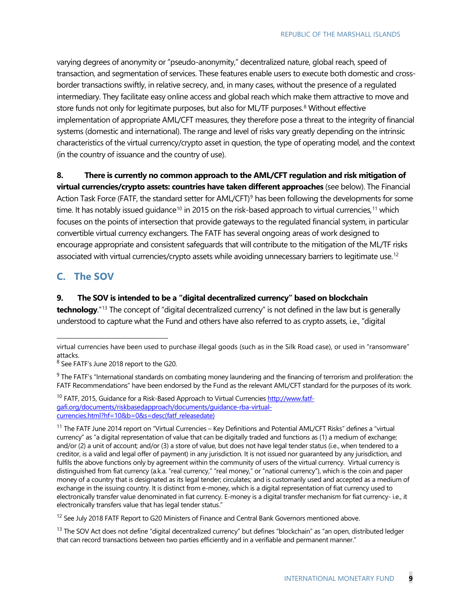varying degrees of anonymity or "pseudo-anonymity," decentralized nature, global reach, speed of transaction, and segmentation of services. These features enable users to execute both domestic and crossborder transactions swiftly, in relative secrecy, and, in many cases, without the presence of a regulated intermediary. They facilitate easy online access and global reach which make them attractive to move and store funds not only for legitimate purposes, but also for ML/TF purposes.<sup>[8](#page-9-0)</sup> Without effective implementation of appropriate AML/CFT measures, they therefore pose a threat to the integrity of financial systems (domestic and international). The range and level of risks vary greatly depending on the intrinsic characteristics of the virtual currency/crypto asset in question, the type of operating model, and the context (in the country of issuance and the country of use).

#### **8. There is currently no common approach to the AML/CFT regulation and risk mitigation of**

**virtual currencies/crypto assets: countries have taken different approaches** (see below). The Financial Action Task Force (FATF, the standard setter for AML/CFT)<sup>[9](#page-9-1)</sup> has been following the developments for some time. It has notably issued quidance<sup>[10](#page-9-2)</sup> in 2015 on the risk-based approach to virtual currencies,<sup>[11](#page-9-3)</sup> which focuses on the points of intersection that provide gateways to the regulated financial system, in particular convertible virtual currency exchangers. The FATF has several ongoing areas of work designed to encourage appropriate and consistent safeguards that will contribute to the mitigation of the ML/TF risks associated with virtual currencies/crypto assets while avoiding unnecessary barriers to legitimate use.<sup>12</sup>

#### **C. The SOV**

-

#### **9. The SOV is intended to be a "digital decentralized currency" based on blockchain**

**technology**."[13](#page-9-5) The concept of "digital decentralized currency" is not defined in the law but is generally understood to capture what the Fund and others have also referred to as crypto assets, i.e., "digital

<span id="page-9-4"></span><sup>12</sup> See July 2018 FATF Report to G20 Ministers of Finance and Central Bank Governors mentioned above.

<span id="page-9-5"></span> $13$  The SOV Act does not define "digital decentralized currency" but defines "blockchain" as "an open, distributed ledger that can record transactions between two parties efficiently and in a verifiable and permanent manner."

virtual currencies have been used to purchase illegal goods (such as in the Silk Road case), or used in "ransomware" attacks.

<span id="page-9-0"></span><sup>&</sup>lt;sup>8</sup> See FATF's June 2018 report to the G20.

<span id="page-9-1"></span><sup>&</sup>lt;sup>9</sup> The FATF's "International standards on combating money laundering and the financing of terrorism and proliferation: the FATF Recommendations" have been endorsed by the Fund as the relevant AML/CFT standard for the purposes of its work.

<span id="page-9-2"></span><sup>&</sup>lt;sup>10</sup> FATF, 2015, Guidance for a Risk-Based Approach to Virtual Currencie[s http://www.fatf](http://www.fatf-gafi.org/documents/riskbasedapproach/documents/guidance-rba-virtual-currencies.html?hf=10&b=0&s=desc(fatf_releasedate))[gafi.org/documents/riskbasedapproach/documents/guidance-rba-virtual](http://www.fatf-gafi.org/documents/riskbasedapproach/documents/guidance-rba-virtual-currencies.html?hf=10&b=0&s=desc(fatf_releasedate))[currencies.html?hf=10&b=0&s=desc\(fatf\\_releasedate\)](http://www.fatf-gafi.org/documents/riskbasedapproach/documents/guidance-rba-virtual-currencies.html?hf=10&b=0&s=desc(fatf_releasedate))

<span id="page-9-3"></span><sup>&</sup>lt;sup>11</sup> The FATF June 2014 report on "Virtual Currencies – Key Definitions and Potential AML/CFT Risks" defines a "virtual currency" as "a digital representation of value that can be digitally traded and functions as (1) a medium of exchange; and/or (2) a unit of account; and/or (3) a store of value, but does not have legal tender status (i.e., when tendered to a creditor, is a valid and legal offer of payment) in any jurisdiction. It is not issued nor guaranteed by any jurisdiction, and fulfils the above functions only by agreement within the community of users of the virtual currency. Virtual currency is distinguished from fiat currency (a.k.a. "real currency," "real money," or "national currency"), which is the coin and paper money of a country that is designated as its legal tender; circulates; and is customarily used and accepted as a medium of exchange in the issuing country. It is distinct from e-money, which is a digital representation of fiat currency used to electronically transfer value denominated in fiat currency. E-money is a digital transfer mechanism for fiat currency- i.e., it electronically transfers value that has legal tender status."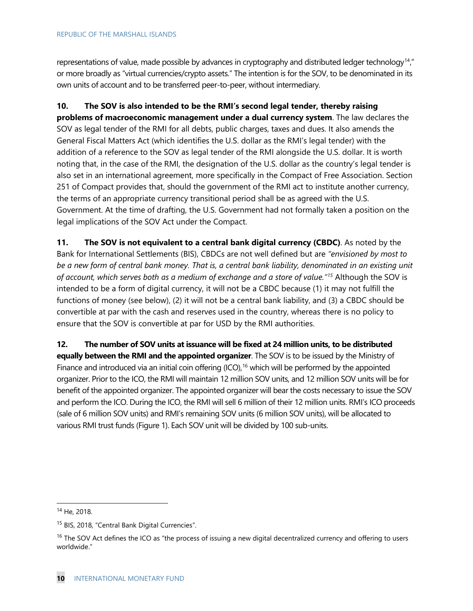representations of value, made possible by advances in cryptography and distributed ledger technology<sup>14</sup>," or more broadly as "virtual currencies/crypto assets." The intention is for the SOV, to be denominated in its own units of account and to be transferred peer-to-peer, without intermediary.

**10. The SOV is also intended to be the RMI's second legal tender, thereby raising problems of macroeconomic management under a dual currency system**. The law declares the SOV as legal tender of the RMI for all debts, public charges, taxes and dues. It also amends the General Fiscal Matters Act (which identifies the U.S. dollar as the RMI's legal tender) with the addition of a reference to the SOV as legal tender of the RMI alongside the U.S. dollar. It is worth noting that, in the case of the RMI, the designation of the U.S. dollar as the country's legal tender is also set in an international agreement, more specifically in the Compact of Free Association. Section 251 of Compact provides that, should the government of the RMI act to institute another currency, the terms of an appropriate currency transitional period shall be as agreed with the U.S. Government. At the time of drafting, the U.S. Government had not formally taken a position on the legal implications of the SOV Act under the Compact.

**11. The SOV is not equivalent to a central bank digital currency (CBDC)**. As noted by the Bank for International Settlements (BIS), CBDCs are not well defined but are *"envisioned by most to be a new form of central bank money. That is, a central bank liability, denominated in an existing unit of account, which serves both as a medium of exchange and a store of value."[15](#page-10-1)* Although the SOV is intended to be a form of digital currency, it will not be a CBDC because (1) it may not fulfill the functions of money (see below), (2) it will not be a central bank liability, and (3) a CBDC should be convertible at par with the cash and reserves used in the country, whereas there is no policy to ensure that the SOV is convertible at par for USD by the RMI authorities.

**12. The number of SOV units at issuance will be fixed at 24 million units, to be distributed equally between the RMI and the appointed organizer**. The SOV is to be issued by the Ministry of Finance and introduced via an initial coin offering (ICO),<sup>[16](#page-10-2)</sup> which will be performed by the appointed organizer. Prior to the ICO, the RMI will maintain 12 million SOV units, and 12 million SOV units will be for benefit of the appointed organizer. The appointed organizer will bear the costs necessary to issue the SOV and perform the ICO. During the ICO, the RMI will sell 6 million of their 12 million units. RMI's ICO proceeds (sale of 6 million SOV units) and RMI's remaining SOV units (6 million SOV units), will be allocated to various RMI trust funds (Figure 1). Each SOV unit will be divided by 100 sub-units.

<span id="page-10-0"></span> <sup>14</sup> He, 2018.

<span id="page-10-1"></span><sup>&</sup>lt;sup>15</sup> BIS, 2018, "Central Bank Digital Currencies".

<span id="page-10-2"></span> $16$  The SOV Act defines the ICO as "the process of issuing a new digital decentralized currency and offering to users worldwide."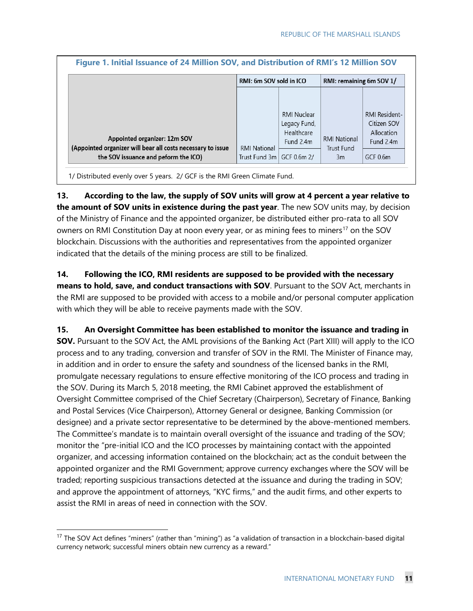|                                                                                                                                     | RMI: 6m SOV sold in ICO<br>RMI: remaining 6m SOV 1/ |                                                                              |                                                |                                                                            |
|-------------------------------------------------------------------------------------------------------------------------------------|-----------------------------------------------------|------------------------------------------------------------------------------|------------------------------------------------|----------------------------------------------------------------------------|
| Appointed organizer: 12m SOV<br>(Appointed organizer will bear all costs necessary to issue<br>the SOV issuance and peform the ICO) | <b>RMI National</b><br>Trust Fund 3m l              | <b>RMI Nuclear</b><br>Legacy Fund,<br>Healthcare<br>Fund 2.4m<br>GCF 0.6m 2/ | <b>RMI National</b><br><b>Trust Fund</b><br>3m | <b>RMI Resident-</b><br>Citizen SOV<br>Allocation<br>Fund 2.4m<br>GCF 0.6m |

1/ Distributed evenly over 5 years. 2/ GCF is the RMI Green Climate Fund.

**13. According to the law, the supply of SOV units will grow at 4 percent a year relative to the amount of SOV units in existence during the past year**. The new SOV units may, by decision of the Ministry of Finance and the appointed organizer, be distributed either pro-rata to all SOV owners on RMI Constitution Day at noon every year, or as mining fees to miners<sup>[17](#page-11-0)</sup> on the SOV blockchain. Discussions with the authorities and representatives from the appointed organizer indicated that the details of the mining process are still to be finalized.

**14. Following the ICO, RMI residents are supposed to be provided with the necessary means to hold, save, and conduct transactions with SOV**. Pursuant to the SOV Act, merchants in the RMI are supposed to be provided with access to a mobile and/or personal computer application with which they will be able to receive payments made with the SOV.

**15. An Oversight Committee has been established to monitor the issuance and trading in SOV.** Pursuant to the SOV Act, the AML provisions of the Banking Act (Part XIII) will apply to the ICO process and to any trading, conversion and transfer of SOV in the RMI. The Minister of Finance may, in addition and in order to ensure the safety and soundness of the licensed banks in the RMI, promulgate necessary regulations to ensure effective monitoring of the ICO process and trading in the SOV. During its March 5, 2018 meeting, the RMI Cabinet approved the establishment of Oversight Committee comprised of the Chief Secretary (Chairperson), Secretary of Finance, Banking and Postal Services (Vice Chairperson), Attorney General or designee, Banking Commission (or designee) and a private sector representative to be determined by the above-mentioned members. The Committee's mandate is to maintain overall oversight of the issuance and trading of the SOV; monitor the "pre-initial ICO and the ICO processes by maintaining contact with the appointed organizer, and accessing information contained on the blockchain; act as the conduit between the appointed organizer and the RMI Government; approve currency exchanges where the SOV will be traded; reporting suspicious transactions detected at the issuance and during the trading in SOV; and approve the appointment of attorneys, "KYC firms," and the audit firms, and other experts to assist the RMI in areas of need in connection with the SOV.

<span id="page-11-0"></span><sup>&</sup>lt;sup>17</sup> The SOV Act defines "miners" (rather than "mining") as "a validation of transaction in a blockchain-based digital currency network; successful miners obtain new currency as a reward."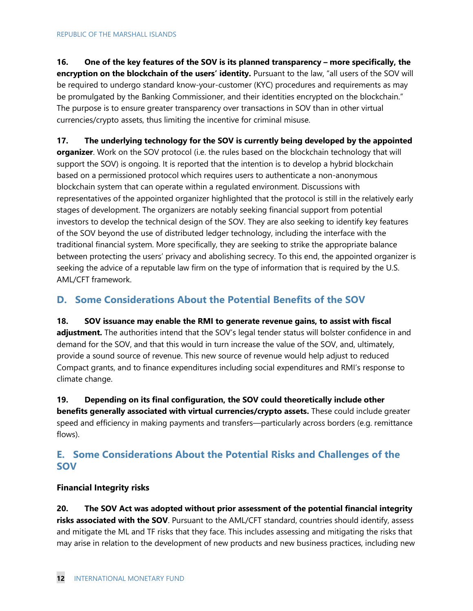**16. One of the key features of the SOV is its planned transparency – more specifically, the encryption on the blockchain of the users' identity.** Pursuant to the law, "all users of the SOV will be required to undergo standard know-your-customer (KYC) procedures and requirements as may be promulgated by the Banking Commissioner, and their identities encrypted on the blockchain." The purpose is to ensure greater transparency over transactions in SOV than in other virtual currencies/crypto assets, thus limiting the incentive for criminal misuse.

**17. The underlying technology for the SOV is currently being developed by the appointed organizer**. Work on the SOV protocol (i.e. the rules based on the blockchain technology that will support the SOV) is ongoing. It is reported that the intention is to develop a hybrid blockchain based on a permissioned protocol which requires users to authenticate a non-anonymous blockchain system that can operate within a regulated environment. Discussions with representatives of the appointed organizer highlighted that the protocol is still in the relatively early stages of development. The organizers are notably seeking financial support from potential investors to develop the technical design of the SOV. They are also seeking to identify key features of the SOV beyond the use of distributed ledger technology, including the interface with the traditional financial system. More specifically, they are seeking to strike the appropriate balance between protecting the users' privacy and abolishing secrecy. To this end, the appointed organizer is seeking the advice of a reputable law firm on the type of information that is required by the U.S. AML/CFT framework.

## **D. Some Considerations About the Potential Benefits of the SOV**

**18. SOV issuance may enable the RMI to generate revenue gains, to assist with fiscal adjustment.** The authorities intend that the SOV's legal tender status will bolster confidence in and demand for the SOV, and that this would in turn increase the value of the SOV, and, ultimately, provide a sound source of revenue. This new source of revenue would help adjust to reduced Compact grants, and to finance expenditures including social expenditures and RMI's response to climate change.

**19. Depending on its final configuration, the SOV could theoretically include other benefits generally associated with virtual currencies/crypto assets.** These could include greater speed and efficiency in making payments and transfers—particularly across borders (e.g. remittance flows).

## **E. Some Considerations About the Potential Risks and Challenges of the SOV**

#### **Financial Integrity risks**

**20. The SOV Act was adopted without prior assessment of the potential financial integrity risks associated with the SOV**. Pursuant to the AML/CFT standard, countries should identify, assess and mitigate the ML and TF risks that they face. This includes assessing and mitigating the risks that may arise in relation to the development of new products and new business practices, including new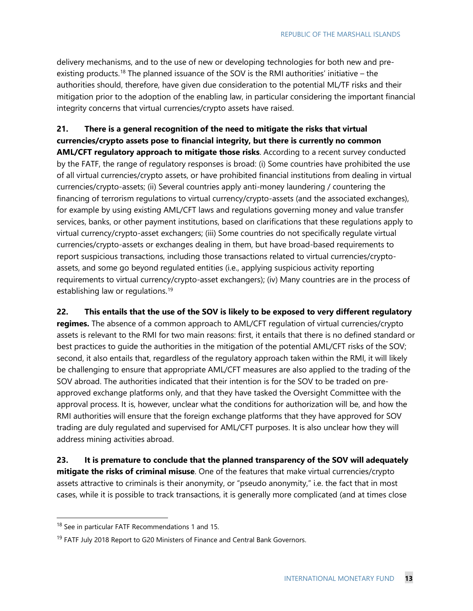delivery mechanisms, and to the use of new or developing technologies for both new and pre-existing products.<sup>[18](#page-13-0)</sup> The planned issuance of the SOV is the RMI authorities' initiative – the authorities should, therefore, have given due consideration to the potential ML/TF risks and their mitigation prior to the adoption of the enabling law, in particular considering the important financial integrity concerns that virtual currencies/crypto assets have raised.

## **21. There is a general recognition of the need to mitigate the risks that virtual currencies/crypto assets pose to financial integrity, but there is currently no common**

**AML/CFT regulatory approach to mitigate those risks**. According to a recent survey conducted by the FATF, the range of regulatory responses is broad: (i) Some countries have prohibited the use of all virtual currencies/crypto assets, or have prohibited financial institutions from dealing in virtual currencies/crypto-assets; (ii) Several countries apply anti-money laundering / countering the financing of terrorism regulations to virtual currency/crypto-assets (and the associated exchanges), for example by using existing AML/CFT laws and regulations governing money and value transfer services, banks, or other payment institutions, based on clarifications that these regulations apply to virtual currency/crypto-asset exchangers; (iii) Some countries do not specifically regulate virtual currencies/crypto-assets or exchanges dealing in them, but have broad-based requirements to report suspicious transactions, including those transactions related to virtual currencies/cryptoassets, and some go beyond regulated entities (i.e., applying suspicious activity reporting requirements to virtual currency/crypto-asset exchangers); (iv) Many countries are in the process of establishing law or regulations.<sup>[19](#page-13-1)</sup>

#### **22. This entails that the use of the SOV is likely to be exposed to very different regulatory**

**regimes.** The absence of a common approach to AML/CFT regulation of virtual currencies/crypto assets is relevant to the RMI for two main reasons: first, it entails that there is no defined standard or best practices to guide the authorities in the mitigation of the potential AML/CFT risks of the SOV; second, it also entails that, regardless of the regulatory approach taken within the RMI, it will likely be challenging to ensure that appropriate AML/CFT measures are also applied to the trading of the SOV abroad. The authorities indicated that their intention is for the SOV to be traded on preapproved exchange platforms only, and that they have tasked the Oversight Committee with the approval process. It is, however, unclear what the conditions for authorization will be, and how the RMI authorities will ensure that the foreign exchange platforms that they have approved for SOV trading are duly regulated and supervised for AML/CFT purposes. It is also unclear how they will address mining activities abroad.

**23. It is premature to conclude that the planned transparency of the SOV will adequately mitigate the risks of criminal misuse**. One of the features that make virtual currencies/crypto assets attractive to criminals is their anonymity, or "pseudo anonymity," i.e. the fact that in most cases, while it is possible to track transactions, it is generally more complicated (and at times close

<span id="page-13-0"></span><sup>&</sup>lt;sup>18</sup> See in particular FATF Recommendations 1 and 15.

<span id="page-13-1"></span><sup>&</sup>lt;sup>19</sup> FATF July 2018 Report to G20 Ministers of Finance and Central Bank Governors.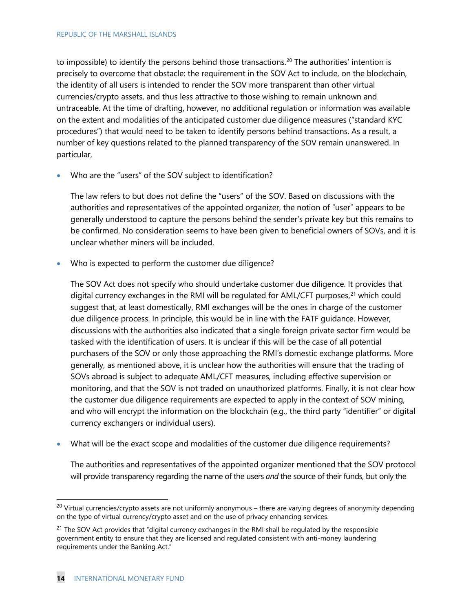to impossible) to identify the persons behind those transactions.<sup>[20](#page-14-0)</sup> The authorities' intention is precisely to overcome that obstacle: the requirement in the SOV Act to include, on the blockchain, the identity of all users is intended to render the SOV more transparent than other virtual currencies/crypto assets, and thus less attractive to those wishing to remain unknown and untraceable. At the time of drafting, however, no additional regulation or information was available on the extent and modalities of the anticipated customer due diligence measures ("standard KYC procedures") that would need to be taken to identify persons behind transactions. As a result, a number of key questions related to the planned transparency of the SOV remain unanswered. In particular,

• Who are the "users" of the SOV subject to identification?

The law refers to but does not define the "users" of the SOV. Based on discussions with the authorities and representatives of the appointed organizer, the notion of "user" appears to be generally understood to capture the persons behind the sender's private key but this remains to be confirmed. No consideration seems to have been given to beneficial owners of SOVs, and it is unclear whether miners will be included.

Who is expected to perform the customer due diligence?

The SOV Act does not specify who should undertake customer due diligence. It provides that digital currency exchanges in the RMI will be regulated for AML/CFT purposes,<sup>[21](#page-14-1)</sup> which could suggest that, at least domestically, RMI exchanges will be the ones in charge of the customer due diligence process. In principle, this would be in line with the FATF guidance. However, discussions with the authorities also indicated that a single foreign private sector firm would be tasked with the identification of users. It is unclear if this will be the case of all potential purchasers of the SOV or only those approaching the RMI's domestic exchange platforms. More generally, as mentioned above, it is unclear how the authorities will ensure that the trading of SOVs abroad is subject to adequate AML/CFT measures, including effective supervision or monitoring, and that the SOV is not traded on unauthorized platforms. Finally, it is not clear how the customer due diligence requirements are expected to apply in the context of SOV mining, and who will encrypt the information on the blockchain (e.g., the third party "identifier" or digital currency exchangers or individual users).

• What will be the exact scope and modalities of the customer due diligence requirements?

The authorities and representatives of the appointed organizer mentioned that the SOV protocol will provide transparency regarding the name of the users *and* the source of their funds, but only the

<span id="page-14-0"></span> $20$  Virtual currencies/crypto assets are not uniformly anonymous – there are varying degrees of anonymity depending on the type of virtual currency/crypto asset and on the use of privacy enhancing services.

<span id="page-14-1"></span><sup>&</sup>lt;sup>21</sup> The SOV Act provides that "digital currency exchanges in the RMI shall be regulated by the responsible government entity to ensure that they are licensed and regulated consistent with anti-money laundering requirements under the Banking Act."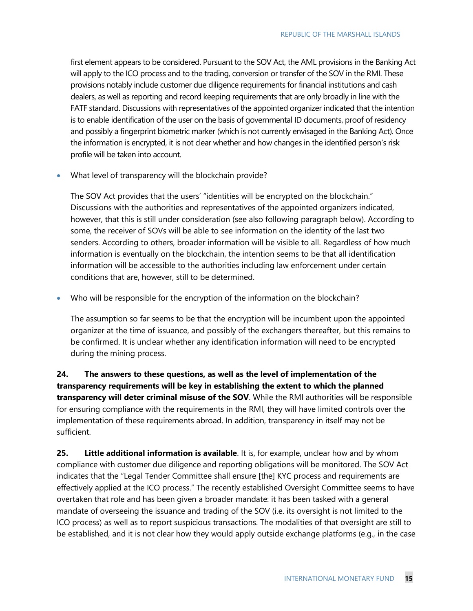first element appears to be considered. Pursuant to the SOV Act, the AML provisions in the Banking Act will apply to the ICO process and to the trading, conversion or transfer of the SOV in the RMI. These provisions notably include customer due diligence requirements for financial institutions and cash dealers, as well as reporting and record keeping requirements that are only broadly in line with the FATF standard. Discussions with representatives of the appointed organizer indicated that the intention is to enable identification of the user on the basis of governmental ID documents, proof of residency and possibly a fingerprint biometric marker (which is not currently envisaged in the Banking Act). Once the information is encrypted, it is not clear whether and how changes in the identified person's risk profile will be taken into account.

• What level of transparency will the blockchain provide?

The SOV Act provides that the users' "identities will be encrypted on the blockchain." Discussions with the authorities and representatives of the appointed organizers indicated, however, that this is still under consideration (see also following paragraph below). According to some, the receiver of SOVs will be able to see information on the identity of the last two senders. According to others, broader information will be visible to all. Regardless of how much information is eventually on the blockchain, the intention seems to be that all identification information will be accessible to the authorities including law enforcement under certain conditions that are, however, still to be determined.

• Who will be responsible for the encryption of the information on the blockchain?

The assumption so far seems to be that the encryption will be incumbent upon the appointed organizer at the time of issuance, and possibly of the exchangers thereafter, but this remains to be confirmed. It is unclear whether any identification information will need to be encrypted during the mining process.

**24. The answers to these questions, as well as the level of implementation of the transparency requirements will be key in establishing the extent to which the planned transparency will deter criminal misuse of the SOV**. While the RMI authorities will be responsible for ensuring compliance with the requirements in the RMI, they will have limited controls over the implementation of these requirements abroad. In addition, transparency in itself may not be sufficient.

**25. Little additional information is available**. It is, for example, unclear how and by whom compliance with customer due diligence and reporting obligations will be monitored. The SOV Act indicates that the "Legal Tender Committee shall ensure [the] KYC process and requirements are effectively applied at the ICO process." The recently established Oversight Committee seems to have overtaken that role and has been given a broader mandate: it has been tasked with a general mandate of overseeing the issuance and trading of the SOV (i.e. its oversight is not limited to the ICO process) as well as to report suspicious transactions. The modalities of that oversight are still to be established, and it is not clear how they would apply outside exchange platforms (e.g., in the case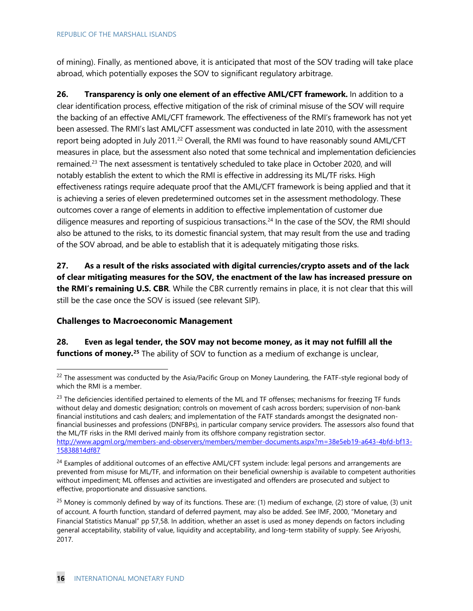of mining). Finally, as mentioned above, it is anticipated that most of the SOV trading will take place abroad, which potentially exposes the SOV to significant regulatory arbitrage.

**26. Transparency is only one element of an effective AML/CFT framework.** In addition to a clear identification process, effective mitigation of the risk of criminal misuse of the SOV will require the backing of an effective AML/CFT framework. The effectiveness of the RMI's framework has not yet been assessed. The RMI's last AML/CFT assessment was conducted in late 2010, with the assessment report being adopted in July 2011.[22](#page-16-0) Overall, the RMI was found to have reasonably sound AML/CFT measures in place, but the assessment also noted that some technical and implementation deficiencies remained.<sup>[23](#page-16-1)</sup> The next assessment is tentatively scheduled to take place in October 2020, and will notably establish the extent to which the RMI is effective in addressing its ML/TF risks. High effectiveness ratings require adequate proof that the AML/CFT framework is being applied and that it is achieving a series of eleven predetermined outcomes set in the assessment methodology. These outcomes cover a range of elements in addition to effective implementation of customer due diligence measures and reporting of suspicious transactions.<sup>[24](#page-16-2)</sup> In the case of the SOV, the RMI should also be attuned to the risks, to its domestic financial system, that may result from the use and trading of the SOV abroad, and be able to establish that it is adequately mitigating those risks.

**27. As a result of the risks associated with digital currencies/crypto assets and of the lack of clear mitigating measures for the SOV, the enactment of the law has increased pressure on the RMI's remaining U.S. CBR**. While the CBR currently remains in place, it is not clear that this will still be the case once the SOV is issued (see relevant SIP).

#### **Challenges to Macroeconomic Management**

**28. Even as legal tender, the SOV may not become money, as it may not fulfill all the functions of money.[25](#page-16-3)** The ability of SOV to function as a medium of exchange is unclear,

<span id="page-16-1"></span> $^{23}$  The deficiencies identified pertained to elements of the ML and TF offenses; mechanisms for freezing TF funds without delay and domestic designation; controls on movement of cash across borders; supervision of non-bank financial institutions and cash dealers; and implementation of the FATF standards amongst the designated nonfinancial businesses and professions (DNFBPs), in particular company service providers. The assessors also found that the ML/TF risks in the RMI derived mainly from its offshore company registration sector. [http://www.apgml.org/members-and-observers/members/member-documents.aspx?m=38e5eb19-a643-4bfd-bf13-](http://www.apgml.org/members-and-observers/members/member-documents.aspx?m=38e5eb19-a643-4bfd-bf13-15838814df87) [15838814df87](http://www.apgml.org/members-and-observers/members/member-documents.aspx?m=38e5eb19-a643-4bfd-bf13-15838814df87)

<span id="page-16-0"></span><sup>&</sup>lt;sup>22</sup> The assessment was conducted by the Asia/Pacific Group on Money Laundering, the FATF-style regional body of which the RMI is a member.

<span id="page-16-2"></span><sup>&</sup>lt;sup>24</sup> Examples of additional outcomes of an effective AML/CFT system include: legal persons and arrangements are prevented from misuse for ML/TF, and information on their beneficial ownership is available to competent authorities without impediment; ML offenses and activities are investigated and offenders are prosecuted and subject to effective, proportionate and dissuasive sanctions.

<span id="page-16-3"></span><sup>&</sup>lt;sup>25</sup> Money is commonly defined by way of its functions. These are: (1) medium of exchange, (2) store of value, (3) unit of account. A fourth function, standard of deferred payment, may also be added. See IMF, 2000, "Monetary and Financial Statistics Manual" pp 57,58. In addition, whether an asset is used as money depends on factors including general acceptability, stability of value, liquidity and acceptability, and long-term stability of supply. See Ariyoshi, 2017.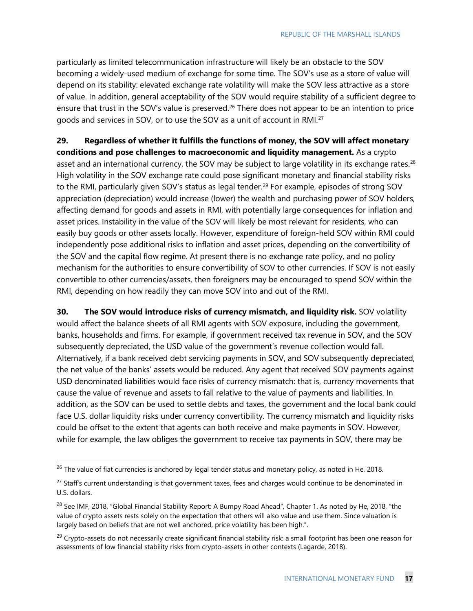particularly as limited telecommunication infrastructure will likely be an obstacle to the SOV becoming a widely-used medium of exchange for some time. The SOV's use as a store of value will depend on its stability: elevated exchange rate volatility will make the SOV less attractive as a store of value. In addition, general acceptability of the SOV would require stability of a sufficient degree to ensure that trust in the SOV's value is preserved.<sup>[26](#page-17-0)</sup> There does not appear to be an intention to price goods and services in SOV, or to use the SOV as a unit of account in RMI.<sup>[27](#page-17-1)</sup>

**29. Regardless of whether it fulfills the functions of money, the SOV will affect monetary conditions and pose challenges to macroeconomic and liquidity management.** As a crypto asset and an international currency, the SOV may be subject to large volatility in its exchange rates.<sup>[28](#page-17-2)</sup> High volatility in the SOV exchange rate could pose significant monetary and financial stability risks to the RMI, particularly given SOV's status as legal tender.<sup>[29](#page-17-3)</sup> For example, episodes of strong SOV appreciation (depreciation) would increase (lower) the wealth and purchasing power of SOV holders, affecting demand for goods and assets in RMI, with potentially large consequences for inflation and asset prices. Instability in the value of the SOV will likely be most relevant for residents, who can easily buy goods or other assets locally. However, expenditure of foreign-held SOV within RMI could independently pose additional risks to inflation and asset prices, depending on the convertibility of the SOV and the capital flow regime. At present there is no exchange rate policy, and no policy mechanism for the authorities to ensure convertibility of SOV to other currencies. If SOV is not easily convertible to other currencies/assets, then foreigners may be encouraged to spend SOV within the RMI, depending on how readily they can move SOV into and out of the RMI.

**30. The SOV would introduce risks of currency mismatch, and liquidity risk.** SOV volatility would affect the balance sheets of all RMI agents with SOV exposure, including the government, banks, households and firms. For example, if government received tax revenue in SOV, and the SOV subsequently depreciated, the USD value of the government's revenue collection would fall. Alternatively, if a bank received debt servicing payments in SOV, and SOV subsequently depreciated, the net value of the banks' assets would be reduced. Any agent that received SOV payments against USD denominated liabilities would face risks of currency mismatch: that is, currency movements that cause the value of revenue and assets to fall relative to the value of payments and liabilities. In addition, as the SOV can be used to settle debts and taxes, the government and the local bank could face U.S. dollar liquidity risks under currency convertibility. The currency mismatch and liquidity risks could be offset to the extent that agents can both receive and make payments in SOV. However, while for example, the law obliges the government to receive tax payments in SOV, there may be

<span id="page-17-0"></span><sup>&</sup>lt;sup>26</sup> The value of fiat currencies is anchored by legal tender status and monetary policy, as noted in He, 2018.

<span id="page-17-1"></span><sup>&</sup>lt;sup>27</sup> Staff's current understanding is that government taxes, fees and charges would continue to be denominated in U.S. dollars.

<span id="page-17-2"></span><sup>28</sup> See IMF, 2018, "Global Financial Stability Report: A Bumpy Road Ahead"*,* Chapter 1. As noted by He, 2018, "the value of crypto assets rests solely on the expectation that others will also value and use them. Since valuation is largely based on beliefs that are not well anchored, price volatility has been high.".

<span id="page-17-3"></span><sup>&</sup>lt;sup>29</sup> Crypto-assets do not necessarily create significant financial stability risk: a small footprint has been one reason for assessments of low financial stability risks from crypto-assets in other contexts (Lagarde, 2018).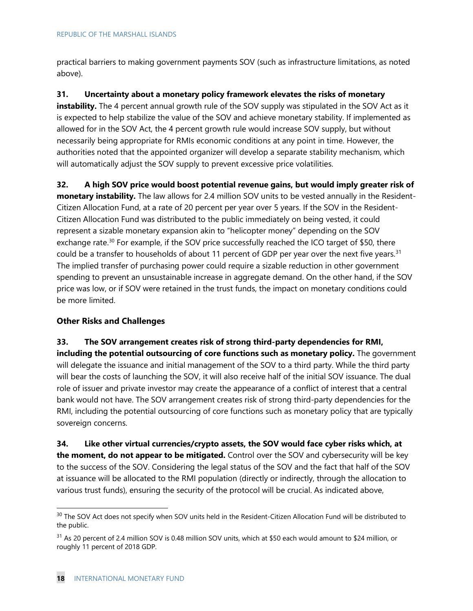practical barriers to making government payments SOV (such as infrastructure limitations, as noted above).

**31. Uncertainty about a monetary policy framework elevates the risks of monetary** 

instability. The 4 percent annual growth rule of the SOV supply was stipulated in the SOV Act as it is expected to help stabilize the value of the SOV and achieve monetary stability. If implemented as allowed for in the SOV Act, the 4 percent growth rule would increase SOV supply, but without necessarily being appropriate for RMIs economic conditions at any point in time. However, the authorities noted that the appointed organizer will develop a separate stability mechanism, which will automatically adjust the SOV supply to prevent excessive price volatilities.

**32. A high SOV price would boost potential revenue gains, but would imply greater risk of monetary instability.** The law allows for 2.4 million SOV units to be vested annually in the Resident-Citizen Allocation Fund, at a rate of 20 percent per year over 5 years. If the SOV in the Resident-Citizen Allocation Fund was distributed to the public immediately on being vested, it could represent a sizable monetary expansion akin to "helicopter money" depending on the SOV exchange rate.<sup>[30](#page-18-0)</sup> For example, if the SOV price successfully reached the ICO target of \$50, there could be a transfer to households of about 11 percent of GDP per year over the next five years.<sup>[31](#page-18-1)</sup> The implied transfer of purchasing power could require a sizable reduction in other government spending to prevent an unsustainable increase in aggregate demand. On the other hand, if the SOV price was low, or if SOV were retained in the trust funds, the impact on monetary conditions could be more limited.

#### **Other Risks and Challenges**

**33. The SOV arrangement creates risk of strong third-party dependencies for RMI, including the potential outsourcing of core functions such as monetary policy.** The government will delegate the issuance and initial management of the SOV to a third party. While the third party will bear the costs of launching the SOV, it will also receive half of the initial SOV issuance. The dual role of issuer and private investor may create the appearance of a conflict of interest that a central bank would not have. The SOV arrangement creates risk of strong third-party dependencies for the RMI, including the potential outsourcing of core functions such as monetary policy that are typically sovereign concerns.

**34. Like other virtual currencies/crypto assets, the SOV would face cyber risks which, at the moment, do not appear to be mitigated.** Control over the SOV and cybersecurity will be key to the success of the SOV. Considering the legal status of the SOV and the fact that half of the SOV at issuance will be allocated to the RMI population (directly or indirectly, through the allocation to various trust funds), ensuring the security of the protocol will be crucial. As indicated above,

<span id="page-18-0"></span><sup>&</sup>lt;sup>30</sup> The SOV Act does not specify when SOV units held in the Resident-Citizen Allocation Fund will be distributed to the public.

<span id="page-18-1"></span> $31$  As 20 percent of 2.4 million SOV is 0.48 million SOV units, which at \$50 each would amount to \$24 million, or roughly 11 percent of 2018 GDP.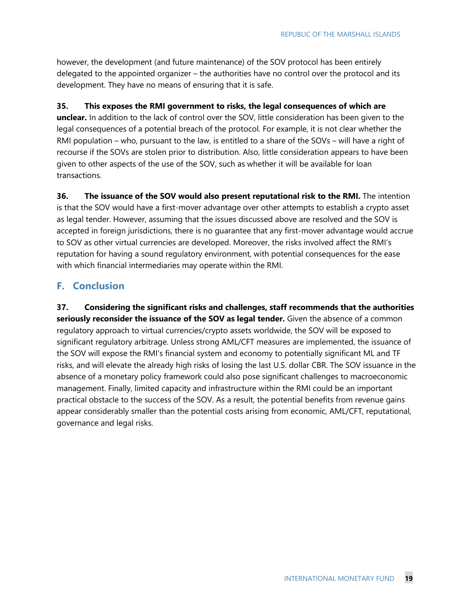however, the development (and future maintenance) of the SOV protocol has been entirely delegated to the appointed organizer – the authorities have no control over the protocol and its development. They have no means of ensuring that it is safe.

#### **35. This exposes the RMI government to risks, the legal consequences of which are**

**unclear.** In addition to the lack of control over the SOV, little consideration has been given to the legal consequences of a potential breach of the protocol. For example, it is not clear whether the RMI population – who, pursuant to the law, is entitled to a share of the SOVs – will have a right of recourse if the SOVs are stolen prior to distribution. Also, little consideration appears to have been given to other aspects of the use of the SOV, such as whether it will be available for loan transactions.

**36. The issuance of the SOV would also present reputational risk to the RMI.** The intention is that the SOV would have a first-mover advantage over other attempts to establish a crypto asset as legal tender. However, assuming that the issues discussed above are resolved and the SOV is accepted in foreign jurisdictions, there is no guarantee that any first-mover advantage would accrue to SOV as other virtual currencies are developed. Moreover, the risks involved affect the RMI's reputation for having a sound regulatory environment, with potential consequences for the ease with which financial intermediaries may operate within the RMI.

#### **F. Conclusion**

**37. Considering the significant risks and challenges, staff recommends that the authorities seriously reconsider the issuance of the SOV as legal tender.** Given the absence of a common regulatory approach to virtual currencies/crypto assets worldwide, the SOV will be exposed to significant regulatory arbitrage. Unless strong AML/CFT measures are implemented, the issuance of the SOV will expose the RMI's financial system and economy to potentially significant ML and TF risks, and will elevate the already high risks of losing the last U.S. dollar CBR. The SOV issuance in the absence of a monetary policy framework could also pose significant challenges to macroeconomic management. Finally, limited capacity and infrastructure within the RMI could be an important practical obstacle to the success of the SOV. As a result, the potential benefits from revenue gains appear considerably smaller than the potential costs arising from economic, AML/CFT, reputational, governance and legal risks.